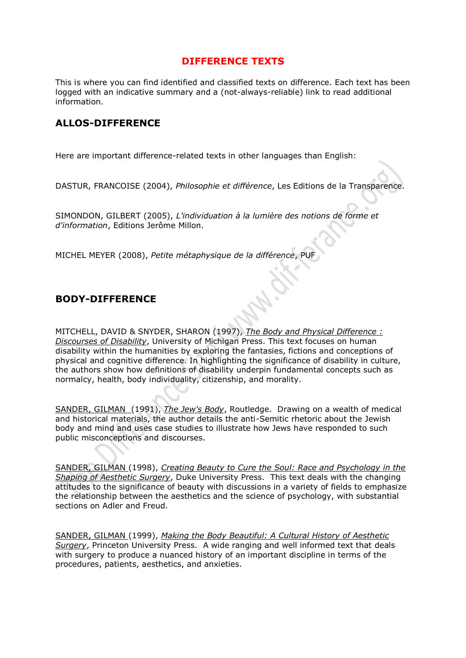#### **DIFFERENCE TEXTS**

This is where you can find identified and classified texts on difference. Each text has been logged with an indicative summary and a (not-always-reliable) link to read additional information.

### **ALLOS-DIFFERENCE**

Here are important difference-related texts in other languages than English:

DASTUR, FRANCOISE (2004), *Philosophie et différence*, Les Editions de la Transparence.

SIMONDON, GILBERT (2005), *L'individuation à la lumière des notions de forme et d'information*, Editions Jerôme Millon.

MICHEL MEYER (2008), *Petite métaphysique de la différence*, PUF

### **BODY-DIFFERENCE**

MITCHELL, DAVID & SNYDER, SHARON (1997), *[The Body and Physical Difference :](http://www.amazon.com/gp/associates/link-types/marketplace.html?t=thedifferencs-20&asin=0472096591)  [Discourses of Disability](http://www.amazon.com/gp/associates/link-types/marketplace.html?t=thedifferencs-20&asin=0472096591)*, University of Michigan Press. This text focuses on human disability within the humanities by exploring the fantasies, fictions and conceptions of physical and cognitive difference. In highlighting the significance of disability in culture, the authors show how definitions of disability underpin fundamental concepts such as normalcy, health, body individuality, citizenship, and morality.

[SANDER, GILMAN](http://www.dif-ferance.org/4771/14855.html) (1991), *[The Jew's Body](http://www.amazon.com/gp/associates/link-types/marketplace.html?t=thedifferencs-20&asin=0415904595)*, Routledge. Drawing on a wealth of medical and historical materials, the author details the anti-Semitic rhetoric about the Jewish body and mind and uses case studies to illustrate how Jews have responded to such public misconceptions and discourses.

[SANDER, GILMAN](http://www.dif-ferance.org/4771/14855.html) (1998), *[Creating Beauty to Cure the Soul: Race and Psychology in the](http://www.amazon.com/gp/associates/link-types/marketplace.html?t=thedifferencs-20&asin=0822321114)  [Shaping of Aesthetic Surgery](http://www.amazon.com/gp/associates/link-types/marketplace.html?t=thedifferencs-20&asin=0822321114)*, Duke University Press. This text deals with the changing attitudes to the significance of beauty with discussions in a variety of fields to emphasize the relationship between the aesthetics and the science of psychology, with substantial sections on Adler and Freud.

[SANDER, GILMAN](http://www.dif-ferance.org/4771/14855.html) (1999), *[Making the Body Beautiful: A Cultural History of Aesthetic](http://www.amazon.com/gp/associates/link-types/marketplace.html?t=thedifferencs-20&asin=0691070539)  [Surgery](http://www.amazon.com/gp/associates/link-types/marketplace.html?t=thedifferencs-20&asin=0691070539)*, Princeton University Press. A wide ranging and well informed text that deals with surgery to produce a nuanced history of an important discipline in terms of the procedures, patients, aesthetics, and anxieties.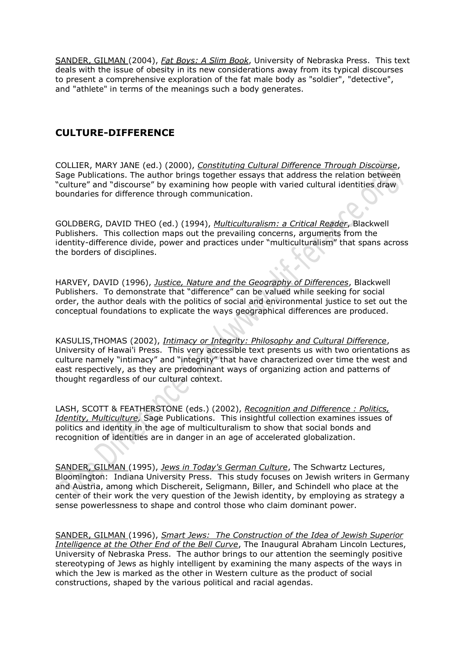[SANDER, GILMAN](http://www.dif-ferance.org/4771/14855.html) (2004), *[Fat Boys: A Slim Book](http://www.amazon.com/gp/associates/link-types/marketplace.html?t=thedifferencs-20&asin=0803221835)*, University of Nebraska Press. This text deals with the issue of obesity in its new considerations away from its typical discourses to present a comprehensive exploration of the fat male body as "soldier", "detective", and "athlete" in terms of the meanings such a body generates.

# **CULTURE-DIFFERENCE**

COLLIER, MARY JANE (ed.) (2000), *[Constituting Cultural Difference Through Discourse](http://www.amazon.com/gp/associates/link-types/marketplace.html?t=thedifferencs-20&asin=076192230X)*, Sage Publications. The author brings together essays that address the relation between "culture" and "discourse" by examining how people with varied cultural identities draw boundaries for difference through communication.

GOLDBERG, DAVID THEO (ed.) (1994), *[Multiculturalism: a Critical Reader](http://www.amazon.com/gp/associates/link-types/marketplace.html?t=thedifferencs-20&asin=0631189122)*, Blackwell Publishers. This collection maps out the prevailing concerns, arguments from the identity-difference divide, power and practices under "multiculturalism" that spans across the borders of disciplines.

HARVEY, DAVID (1996), *[Justice, Nature and the Geography of Differences](http://www.amazon.com/gp/associates/link-types/marketplace.html?t=thedifferencs-20&asin=1557866813)*, Blackwell Publishers. To demonstrate that "difference" can be valued while seeking for social order, the author deals with the politics of social and environmental justice to set out the conceptual foundations to explicate the ways geographical differences are produced.

KASULIS,THOMAS (2002), *[Intimacy or Integrity: Philosophy and Cultural Difference](http://www.amazon.com/gp/associates/link-types/marketplace.html?t=thedifferencs-20&asin=0824825594)*, University of Hawai'i Press. This very accessible text presents us with two orientations as culture namely "intimacy" and "integrity" that have characterized over time the west and east respectively, as they are predominant ways of organizing action and patterns of thought regardless of our cultural context.

LASH, SCOTT & FEATHERSTONE (eds.) (2002), *[Recognition and Difference : Politics,](http://www.amazon.com/gp/associates/link-types/marketplace.html?t=thedifferencs-20&asin=0761949879)  [Identity, Multiculture,](http://www.amazon.com/gp/associates/link-types/marketplace.html?t=thedifferencs-20&asin=0761949879)* Sage Publications. This insightful collection examines issues of politics and identity in the age of multiculturalism to show that social bonds and recognition of identities are in danger in an age of accelerated globalization.

[SANDER, GILMAN](http://www.dif-ferance.org/4771/14855.html) (1995), *[Jews in Today's German Culture](http://www.amazon.com/gp/associates/link-types/marketplace.html?t=thedifferencs-20&asin=0253325730)*, The Schwartz Lectures, Bloomington: Indiana University Press. This study focuses on Jewish writers in Germany and Austria, among which Dischereit, Seligmann, Biller, and Schindell who place at the center of their work the very question of the Jewish identity, by employing as strategy a sense powerlessness to shape and control those who claim dominant power.

[SANDER, GILMAN](http://www.dif-ferance.org/4771/14855.html) (1996), *Smart Jews: [The Construction of the Idea of Jewish Superior](http://www.amazon.com/gp/associates/link-types/marketplace.html?t=thedifferencs-20&asin=0803221584)  [Intelligence at the Other End of the Bell Curve](http://www.amazon.com/gp/associates/link-types/marketplace.html?t=thedifferencs-20&asin=0803221584)*, The Inaugural Abraham Lincoln Lectures, University of Nebraska Press. The author brings to our attention the seemingly positive stereotyping of Jews as highly intelligent by examining the many aspects of the ways in which the Jew is marked as the other in Western culture as the product of social constructions, shaped by the various political and racial agendas.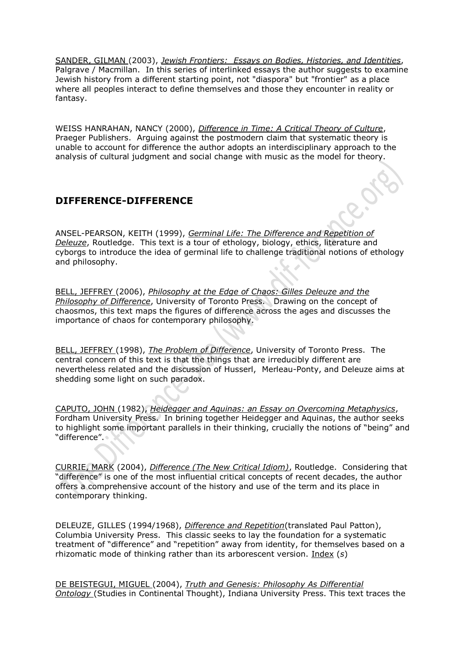[SANDER, GILMAN](http://www.dif-ferance.org/4771/14855.html) (2003), *Jewish Frontiers: [Essays on Bodies, Histories, and Identities](http://www.amazon.com/gp/associates/link-types/marketplace.html?t=thedifferencs-20&asin=0312295324)*, Palgrave / Macmillan. In this series of interlinked essays the author suggests to examine Jewish history from a different starting point, not "diaspora" but "frontier" as a place where all peoples interact to define themselves and those they encounter in reality or fantasy.

WEISS HANRAHAN, NANCY (2000), *[Difference in Time: A Critical Theory of Culture](http://www.amazon.com/gp/associates/link-types/marketplace.html?t=thedifferencs-20&asin=0275969754)*, Praeger Publishers. Arguing against the postmodern claim that systematic theory is unable to account for difference the author adopts an interdisciplinary approach to the analysis of cultural judgment and social change with music as the model for theory.

### **DIFFERENCE-DIFFERENCE**

ANSEL-PEARSON, KEITH (1999), *[Germinal Life: The Difference and Repetition of](http://www.amazon.com/gp/associates/link-types/marketplace.html?t=thedifferencs-20&asin=0415183502)  [Deleuze](http://www.amazon.com/gp/associates/link-types/marketplace.html?t=thedifferencs-20&asin=0415183502)*, Routledge. This text is a tour of ethology, biology, ethics, literature and cyborgs to introduce the idea of germinal life to challenge traditional notions of ethology and philosophy.

[BELL, JEFFREY](http://www.dif-ferance.org/4771/21801.html) (2006), *[Philosophy at the Edge of Chaos: Gilles Deleuze and the](http://www.amazon.com/gp/product/0802094090)  [Philosophy of Difference](http://www.amazon.com/gp/product/0802094090)*, University of Toronto Press. Drawing on the concept of chaosmos, this text maps the figures of difference across the ages and discusses the importance of chaos for contemporary philosophy.

[BELL, JEFFREY](http://www.dif-ferance.org/4771/21801.html) (1998), *[The Problem of Difference](http://www.amazon.com/gp/associates/link-types/marketplace.html?t=thedifferencs-20&asin=0802042538)*, University of Toronto Press. The central concern of this text is that the things that are irreducibly different are nevertheless related and the discussion of Husserl, Merleau-Ponty, and Deleuze aims at shedding some light on such paradox.

[CAPUTO, JOHN](http://www.dif-ferance.org/4771/14801.html) (1982), *[Heidegger and Aquinas: an Essay on Overcoming Metaphysics](http://www.amazon.com/gp/associates/link-types/marketplace.html?t=thedifferencs-20&asin=0823210987)*, Fordham University Press. In brining together Heidegger and Aquinas, the author seeks to highlight some important parallels in their thinking, crucially the notions of "being" and "difference".

[CURRIE, MARK](http://www.dif-ferance.org/4771/53601.html) (2004), *[Difference \(The New Critical Idiom\)](http://www.amazon.com/gp/associates/link-types/marketplace.html?t=thedifferencs-20&asin=0415222222)*, Routledge. Considering that "difference" is one of the most influential critical concepts of recent decades, the author offers a comprehensive account of the history and use of the term and its place in contemporary thinking.

DELEUZE, GILLES (1994/1968), *[Difference and Repetition](http://www.amazon.com/gp/associates/link-types/marketplace.html?t=thedifferencs-20&asin=0231081596)*(translated Paul Patton), Columbia University Press. This classic seeks to lay the foundation for a systematic treatment of "difference" and "repetition" away from identity, for themselves based on a rhizomatic mode of thinking rather than its arborescent version. [Index](http://www.dif-ferance.org/An%20index%20to%20Difference%20and%20Repetition.doc) (*s*)

[DE BEISTEGUI, MIGUEL](http://www.dif-ferance.org/4771/54472.html) (2004), *[Truth and Genesis: Philosophy As Differential](http://rcm.amazon.com/e/cm?t=thedifferencs-20&o=1&p=8&l=as1&asins=0253216710&fc1=000000&lc1=0000ff&bc1=<1=_blank&IS2=1&bg1=ffffff&f=ifr)  [Ontology](http://rcm.amazon.com/e/cm?t=thedifferencs-20&o=1&p=8&l=as1&asins=0253216710&fc1=000000&lc1=0000ff&bc1=<1=_blank&IS2=1&bg1=ffffff&f=ifr)* (Studies in Continental Thought), Indiana University Press. This text traces the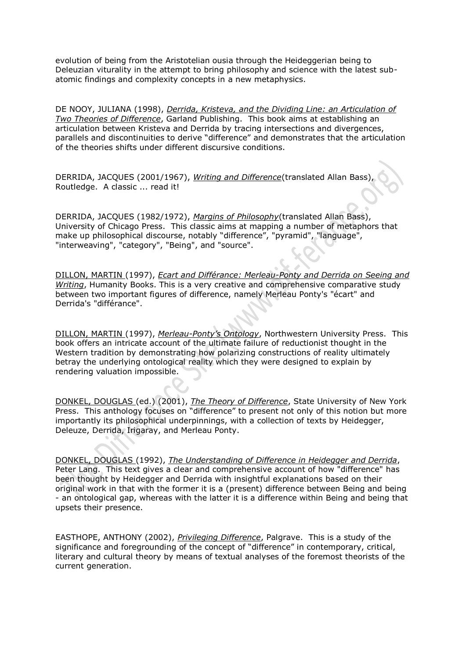evolution of being from the Aristotelian ousia through the Heideggerian being to Deleuzian viturality in the attempt to bring philosophy and science with the latest subatomic findings and complexity concepts in a new metaphysics.

DE NOOY, JULIANA (1998), *[Derrida, Kristeva, and the Dividing Line: an Articulation of](http://www.amazon.com/gp/associates/link-types/marketplace.html?t=thedifferencs-20&asin=0815325711)  [Two Theories of Difference](http://www.amazon.com/gp/associates/link-types/marketplace.html?t=thedifferencs-20&asin=0815325711)*, Garland Publishing. This book aims at establishing an articulation between Kristeva and Derrida by tracing intersections and divergences, parallels and discontinuities to derive "difference" and demonstrates that the articulation of the theories shifts under different discursive conditions.

DERRIDA, JACQUES (2001/1967), *[Writing and Difference](http://www.amazon.com/gp/associates/link-types/marketplace.html?t=thedifferencs-20&asin=0226143295)*(translated Allan Bass), Routledge. A classic ... read it!

DERRIDA, JACQUES (1982/1972), *[Margins of Philosophy](http://www.amazon.com/gp/associates/link-types/marketplace.html?t=thedifferencs-20&asin=0226143260)*(translated Allan Bass), University of Chicago Press. This classic aims at mapping a number of metaphors that make up philosophical discourse, notably "difference", "pyramid", "language", "interweaving", "category", "Being", and "source".

[DILLON, MARTIN](http://www.dif-ferance.org/4771/42528.html) (1997), *[Ecart and Différance: Merleau-Ponty and Derrida on Seeing and](http://www.amazon.com/gp/associates/link-types/marketplace.html?t=thedifferencs-20&asin=1573925845)  [Writing](http://www.amazon.com/gp/associates/link-types/marketplace.html?t=thedifferencs-20&asin=1573925845)*, Humanity Books. This is a very creative and comprehensive comparative study between two important figures of difference, namely Merleau Ponty's "écart" and Derrida's "différance".

[DILLON, MARTIN](http://www.dif-ferance.org/4771/42528.html) (1997), *Merleau-[Ponty's Ontology](http://www.amazon.com/gp/associates/link-types/marketplace.html?t=thedifferencs-20&asin=081011528X)*, Northwestern University Press. This book offers an intricate account of the ultimate failure of reductionist thought in the Western tradition by demonstrating how polarizing constructions of reality ultimately betray the underlying ontological reality which they were designed to explain by rendering valuation impossible.

[DONKEL, DOUGLAS](http://www.dif-ferance.org/4771/20201.html) (ed.) (2001), *[The Theory of Difference](http://www.amazon.com/gp/associates/link-types/marketplace.html?t=thedifferencs-20&asin=0791449270)*, State University of New York Press. This anthology focuses on "difference" to present not only of this notion but more importantly its philosophical underpinnings, with a collection of texts by Heidegger, Deleuze, Derrida, Irigaray, and Merleau Ponty.

[DONKEL, DOUGLAS](http://www.dif-ferance.org/4771/20201.html) (1992), *The Understanding of [Difference in Heidegger and Derrida](http://www.amazon.com/gp/associates/link-types/marketplace.html?t=thedifferencs-20&asin=0820419613)*, Peter Lang. This text gives a clear and comprehensive account of how "difference" has been thought by Heidegger and Derrida with insightful explanations based on their original work in that with the former it is a (present) difference between Being and being - an ontological gap, whereas with the latter it is a difference within Being and being that upsets their presence.

EASTHOPE, ANTHONY (2002), *[Privileging Difference](http://www.amazon.com/gp/associates/link-types/marketplace.html?t=thedifferencs-20&asin=0333786289)*, Palgrave. This is a study of the significance and foregrounding of the concept of "difference" in contemporary, critical, literary and cultural theory by means of textual analyses of the foremost theorists of the current generation.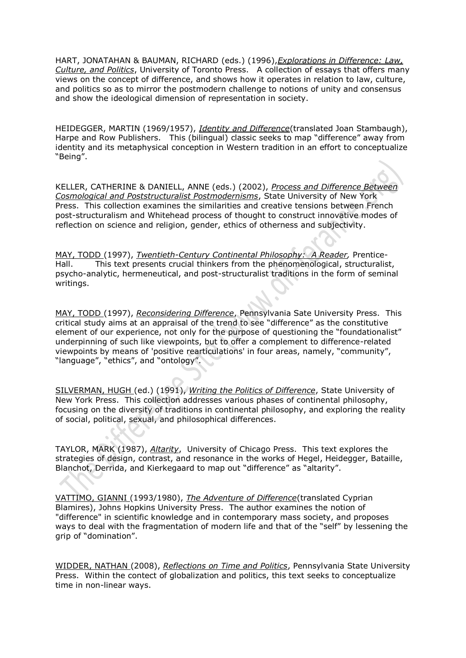HART, JONATAHAN & BAUMAN, RICHARD (eds.) (1996),*[Explorations in Difference: Law,](http://www.amazon.com/exec/obidos/ASIN/0802006930/thedifferencs-20)  [Culture, and Politics](http://www.amazon.com/exec/obidos/ASIN/0802006930/thedifferencs-20)*, University of Toronto Press. A collection of essays that offers many views on the concept of difference, and shows how it operates in relation to law, culture, and politics so as to mirror the postmodern challenge to notions of unity and consensus and show the ideological dimension of representation in society.

HEIDEGGER, MARTIN (1969/1957), *[Identity and Difference](http://www.amazon.com/gp/associates/link-types/marketplace.html?t=thedifferencs-20&asin=0226323781)*(translated Joan Stambaugh), Harpe and Row Publishers. This (bilingual) classic seeks to map "difference" away from identity and its metaphysical conception in Western tradition in an effort to conceptualize "Being".

KELLER, CATHERINE & DANIELL, ANNE (eds.) (2002), *[Process and Difference Between](http://www.amazon.com/gp/associates/link-types/marketplace.html?t=thedifferencs-20&asin=0791452883)  [Cosmological and Poststructuralist Postmodernisms](http://www.amazon.com/gp/associates/link-types/marketplace.html?t=thedifferencs-20&asin=0791452883)*, State University of New York Press. This collection examines the similarities and creative tensions between French post-structuralism and Whitehead process of thought to construct innovative modes of reflection on science and religion, gender, ethics of otherness and subjectivity.

[MAY, TODD](http://www.dif-ferance.org/4771/20801.html) (1997), *[Twentieth-Century Continental Philosophy: A Reader,](http://www.amazon.com/gp/associates/link-types/marketplace.html?t=thedifferencs-20&asin=0134508262)* Prentice-Hall. This text presents crucial thinkers from the phenomenological, structuralist, psycho-analytic, hermeneutical, and post-structuralist traditions in the form of seminal writings.

[MAY, TODD](http://www.dif-ferance.org/4771/20801.html) (1997), *[Reconsidering Difference](http://www.amazon.com/gp/associates/link-types/marketplace.html?t=thedifferencs-20&asin=0271016582)*, Pennsylvania Sate University Press. This critical study aims at an appraisal of the trend to see "difference" as the constitutive element of our experience, not only for the purpose of questioning the "foundationalist" underpinning of such like viewpoints, but to offer a complement to difference-related viewpoints by means of 'positive rearticulations' in four areas, namely, "community", "language", "ethics", and "ontology".

[SILVERMAN, HUGH](http://www.dif-ferance.org/4771/69638.html) (ed.) (1991), *[Writing the Politics of Difference](http://www.amazon.com/gp/associates/link-types/marketplace.html?t=thedifferencs-20&asin=0791404978)*, State University of New York Press. This collection addresses various phases of continental philosophy, focusing on the diversity of traditions in continental philosophy, and exploring the reality of social, political, sexual, and philosophical differences.

TAYLOR, MARK (1987), *[Altarity](http://www.amazon.com/gp/associates/link-types/marketplace.html?t=thedifferencs-20&asin=0226791386)*, University of Chicago Press. This text explores the strategies of design, contrast, and resonance in the works of Hegel, Heidegger, Bataille, Blanchot, Derrida, and Kierkegaard to map out "difference" as "altarity".

[VATTIMO, GIANNI](http://www.dif-ferance.org/4771/63857.html) (1993/1980), *[The Adventure of Difference](http://www.amazon.com/gp/associates/link-types/marketplace.html?t=thedifferencs-20&asin=0801846439)*(translated Cyprian Blamires), Johns Hopkins University Press. The author examines the notion of "difference" in scientific knowledge and in contemporary mass society, and proposes ways to deal with the fragmentation of modern life and that of the "self" by lessening the grip of "domination".

[WIDDER, NATHAN](http://www.dif-ferance.org/4771/46401.html) (2008), *[Reflections on Time and Politics](http://rcm.amazon.com/e/cm?t=thedifferencs-20&o=1&p=8&l=as1&asins=0271033940&fc1=000000&IS2=1<1=_blank&m=amazon&lc1=0000FF&bc1=000000&bg1=FFFFFF&f=ifr)*, Pennsylvania State University Press. Within the contect of globalization and politics, this text seeks to conceptualize time in non-linear ways.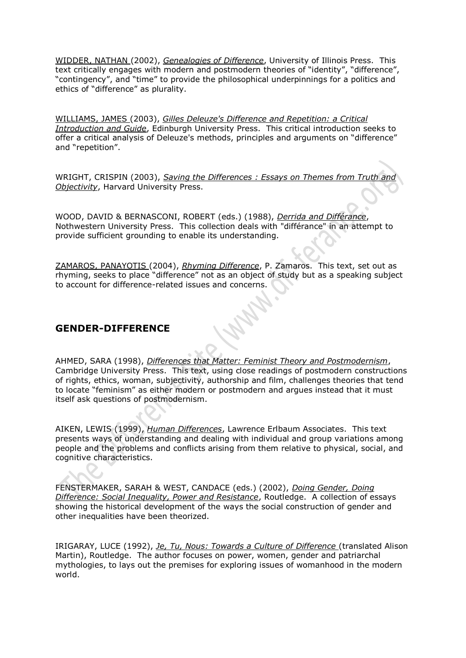[WIDDER, NATHAN](http://www.dif-ferance.org/4771/46401.html) (2002), *[Genealogies of Difference](http://www.amazon.com/gp/associates/link-types/marketplace.html?t=thedifferencs-20&asin=0252027078)*, University of Illinois Press. This text critically engages with modern and postmodern theories of "identity", "difference", "contingency", and "time" to provide the philosophical underpinnings for a politics and ethics of "difference" as plurality.

[WILLIAMS, JAMES](http://www.dif-ferance.org/4771/63857.html) (2003), *[Gilles Deleuze's Difference and Repetition: a Critical](http://www.amazon.com/gp/associates/link-types/marketplace.html?t=thedifferencs-20&asin=074861818X)  [Introduction and Guide](http://www.amazon.com/gp/associates/link-types/marketplace.html?t=thedifferencs-20&asin=074861818X)*, Edinburgh University Press. This critical introduction seeks to offer a critical analysis of Deleuze's methods, principles and arguments on "difference" and "repetition".

WRIGHT, CRISPIN (2003), *[Saving the Differences : Essays on Themes from Truth and](http://www.amazon.com/gp/associates/link-types/marketplace.html?t=thedifferencs-20&asin=0674010779)  [Objectivity](http://www.amazon.com/gp/associates/link-types/marketplace.html?t=thedifferencs-20&asin=0674010779)*, Harvard University Press.

WOOD, DAVID & BERNASCONI, ROBERT (eds.) (1988), *[Derrida and Différance](http://www.amazon.com/gp/associates/link-types/marketplace.html?t=thedifferencs-20&asin=0810107864)*, Nothwestern University Press. This collection deals with "différance" in an attempt to provide sufficient grounding to enable its understanding.

[ZAMAROS, PANAYOTIS](http://www.dif-ferance.org/4771/14909.html) (2004), *[Rhyming Difference](http://www.dif-ferance.org/4771/14909.html)*, P. Zamaros. This text, set out as rhyming, seeks to place "difference" not as an object of study but as a speaking subject to account for difference-related issues and concerns.

# **GENDER-DIFFERENCE**

AHMED, SARA (1998), *[Differences that Matter: Feminist Theory and Postmodernism](http://www.amazon.com/gp/associates/link-types/marketplace.html?t=thedifferencs-20&asin=0521597617)*, Cambridge University Press. This text, using close readings of postmodern constructions of rights, ethics, woman, subjectivity, authorship and film, challenges theories that tend to locate "feminism" as either modern or postmodern and argues instead that it must itself ask questions of postmodernism.

AIKEN, LEWIS (1999), *[Human Differences](http://www.amazon.com/gp/associates/link-types/marketplace.html?t=thedifferencs-20&asin=0805830928)*, Lawrence Erlbaum Associates. This text presents ways of understanding and dealing with individual and group variations among people and the problems and conflicts arising from them relative to physical, social, and cognitive characteristics.

FENSTERMAKER, SARAH & WEST, CANDACE (eds.) (2002), *[Doing Gender, Doing](http://www.amazon.com/gp/associates/link-types/marketplace.html?t=thedifferencs-20&asin=0415931797)  [Difference: Social Inequality, Power and Resistance](http://www.amazon.com/gp/associates/link-types/marketplace.html?t=thedifferencs-20&asin=0415931797)*, Routledge. A collection of essays showing the historical development of the ways the social construction of gender and other inequalities have been theorized.

IRIGARAY, LUCE (1992), *[Je, Tu, Nous: Towards a Culture of Difference](http://www.amazon.com/gp/associates/link-types/marketplace.html?t=thedifferencs-20&asin=0415905826)* (translated Alison Martin), Routledge. The author focuses on power, women, gender and patriarchal mythologies, to lays out the premises for exploring issues of womanhood in the modern world.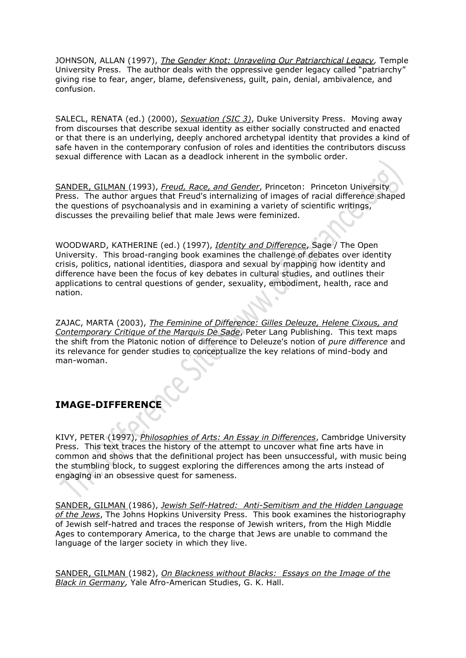JOHNSON, ALLAN (1997), *[The Gender Knot: Unraveling Our Patriarchical Legacy,](http://www.amazon.com/gp/associates/link-types/marketplace.html?t=thedifferencs-20&asin=1566395194)* Temple University Press. The author deals with the oppressive gender legacy called "patriarchy" giving rise to fear, anger, blame, defensiveness, guilt, pain, denial, ambivalence, and confusion.

SALECL, RENATA (ed.) (2000), *[Sexuation \(SIC 3\)](http://www.amazon.com/gp/associates/link-types/marketplace.html?t=thedifferencs-20&asin=0822324733)*, Duke University Press. Moving away from discourses that describe sexual identity as either socially constructed and enacted or that there is an underlying, deeply anchored archetypal identity that provides a kind of safe haven in the contemporary confusion of roles and identities the contributors discuss sexual difference with Lacan as a deadlock inherent in the symbolic order.

[SANDER, GILMAN](http://www.dif-ferance.org/4771/14855.html) (1993), *Freud, [Race, and Gender](http://www.amazon.com/gp/associates/link-types/marketplace.html?t=thedifferencs-20&asin=069102586X)*, Princeton: Princeton University Press. The author argues that Freud's internalizing of images of racial difference shaped the questions of psychoanalysis and in examining a variety of scientific writings, discusses the prevailing belief that male Jews were feminized.

WOODWARD, KATHERINE (ed.) (1997), *[Identity and Difference](http://www.amazon.com/gp/associates/link-types/marketplace.html?t=thedifferencs-20&asin=0761954341)*, Sage / The Open University. This broad-ranging book examines the challenge of debates over identity crisis, politics, national identities, diaspora and sexual by mapping how identity and difference have been the focus of key debates in cultural studies, and outlines their applications to central questions of gender, sexuality, embodiment, health, race and nation.

ZAJAC, MARTA (2003), *[The Feminine of Difference: Gilles Deleuze, Helene Cixous, and](http://www.amazon.com/gp/associates/link-types/marketplace.html?t=thedifferencs-20&asin=0820460575)  [Contemporary Critique of the Marquis De Sade](http://www.amazon.com/gp/associates/link-types/marketplace.html?t=thedifferencs-20&asin=0820460575)*, Peter Lang Publishing. This text maps the shift from the Platonic notion of difference to Deleuze's notion of *pure difference* and its relevance for gender studies to conceptualize the key relations of mind-body and man-woman.

# **IMAGE-DIFFERENCE**

KIVY, PETER (1997), *[Philosophies of Arts: An Essay in Differences](http://www.amazon.com/gp/associates/link-types/marketplace.html?t=thedifferencs-20&asin=0521591783)*, Cambridge University Press. This text traces the history of the attempt to uncover what fine arts have in common and shows that the definitional project has been unsuccessful, with music being the stumbling block, to suggest exploring the differences among the arts instead of engaging in an obsessive quest for sameness.

[SANDER, GILMAN](http://www.dif-ferance.org/4771/14855.html) (1986), *Jewish Self-Hatred: [Anti-Semitism and the Hidden Language](http://www.amazon.com/gp/associates/link-types/marketplace.html?t=thedifferencs-20&asin=0801840635)  [of the Jews](http://www.amazon.com/gp/associates/link-types/marketplace.html?t=thedifferencs-20&asin=0801840635)*, The Johns Hopkins University Press. This book examines the historiography of Jewish self-hatred and traces the response of Jewish writers, from the High Middle Ages to contemporary America, to the charge that Jews are unable to command the language of the larger society in which they live.

[SANDER, GILMAN](http://www.dif-ferance.org/4771/14855.html) (1982), *[On Blackness without Blacks:](http://www.amazon.com/gp/associates/link-types/marketplace.html?t=thedifferencs-20&asin=0816190267) Essays on the Image of the [Black in Germany,](http://www.amazon.com/gp/associates/link-types/marketplace.html?t=thedifferencs-20&asin=0816190267)* Yale Afro-American Studies, G. K. Hall.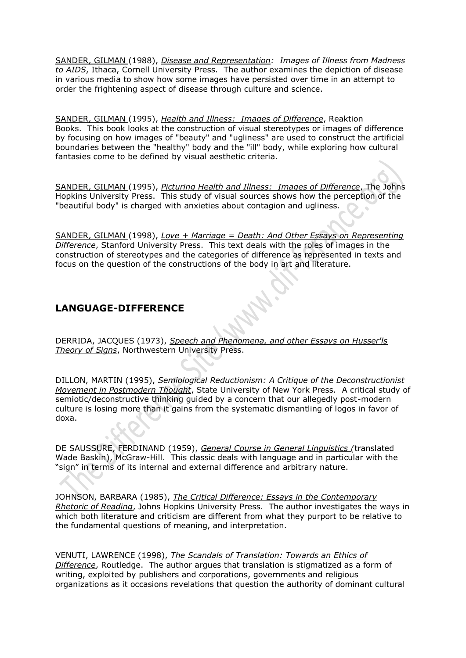[SANDER, GILMAN](http://www.dif-ferance.org/4771/14855.html) (1988), *[Disease and Representation:](http://www.amazon.com/gp/associates/link-types/marketplace.html?t=thedifferencs-20&asin=0801494761) Images of Illness from Madness to AIDS*, Ithaca, Cornell University Press. The author examines the depiction of disease in various media to show how some images have persisted over time in an attempt to order the frightening aspect of disease through culture and science.

[SANDER, GILMAN](http://www.dif-ferance.org/4771/14855.html) (1995), *Health and Illness: [Images of Difference](http://www.amazon.com/gp/associates/link-types/marketplace.html?t=thedifferencs-20&asin=0948462698)*, Reaktion Books. This book looks at the construction of visual stereotypes or images of difference by focusing on how images of "beauty" and "ugliness" are used to construct the artificial boundaries between the "healthy" body and the "ill" body, while exploring how cultural fantasies come to be defined by visual aesthetic criteria.

[SANDER, GILMAN](http://www.dif-ferance.org/4771/14855.html) (1995), *[Picturing Health and Illness:](http://www.amazon.com/gp/associates/link-types/marketplace.html?t=thedifferencs-20&asin=0801851971) Images of Difference*, The Johns Hopkins University Press. This study of visual sources shows how the perception of the "beautiful body" is charged with anxieties about contagion and ugliness.

[SANDER, GILMAN](http://www.dif-ferance.org/4771/14855.html) (1998), *[Love + Marriage = Death: And Other Essays on Representing](http://www.amazon.com/gp/associates/link-types/marketplace.html?t=thedifferencs-20&asin=0804732612)  [Difference](http://www.amazon.com/gp/associates/link-types/marketplace.html?t=thedifferencs-20&asin=0804732612)*, Stanford University Press. This text deals with the roles of images in the construction of stereotypes and the categories of difference as represented in texts and focus on the question of the constructions of the body in art and literature.

### **LANGUAGE-DIFFERENCE**

DERRIDA, JACQUES (1973), *[Speech and Phenomena, and other Essays on Husser'ls](http://www.amazon.com/gp/associates/link-types/marketplace.html?t=thedifferencs-20&asin=081010590X)  [Theory of Signs](http://www.amazon.com/gp/associates/link-types/marketplace.html?t=thedifferencs-20&asin=081010590X)*, Northwestern University Press.

[DILLON, MARTIN](http://www.dif-ferance.org/4771/42528.html) (1995), *[Semiological Reductionism: A Critique of the Deconstructionist](http://www.amazon.com/gp/associates/link-types/marketplace.html?t=thedifferencs-20&asin=079142376X)  [Movement in Postmodern Thought](http://www.amazon.com/gp/associates/link-types/marketplace.html?t=thedifferencs-20&asin=079142376X)*, State University of New York Press. A critical study of semiotic/deconstructive thinking guided by a concern that our allegedly post-modern culture is losing more than it gains from the systematic dismantling of logos in favor of doxa.

DE SAUSSURE, FERDINAND (1959), *[General Course in General Linguistics](http://www.amazon.com/gp/associates/link-types/marketplace.html?t=thedifferencs-20&asin=0812690230) (*translated Wade Baskin), McGraw-Hill. This classic deals with language and in particular with the "sign" in terms of its internal and external difference and arbitrary nature.

JOHNSON, BARBARA (1985), *[The Critical Difference: Essays in the Contemporary](http://www.amazon.com/gp/associates/link-types/marketplace.html?t=thedifferencs-20&asin=0801827280)  [Rhetoric of Reading](http://www.amazon.com/gp/associates/link-types/marketplace.html?t=thedifferencs-20&asin=0801827280)*, Johns Hopkins University Press. The author investigates the ways in which both literature and criticism are different from what they purport to be relative to the fundamental questions of meaning, and interpretation.

VENUTI, LAWRENCE (1998), *[The Scandals of Translation: Towards an Ethics of](http://www.amazon.com/gp/associates/link-types/marketplace.html?t=thedifferencs-20&asin=0415169305)  [Difference](http://www.amazon.com/gp/associates/link-types/marketplace.html?t=thedifferencs-20&asin=0415169305)*, Routledge. The author argues that translation is stigmatized as a form of writing, exploited by publishers and corporations, governments and religious organizations as it occasions revelations that question the authority of dominant cultural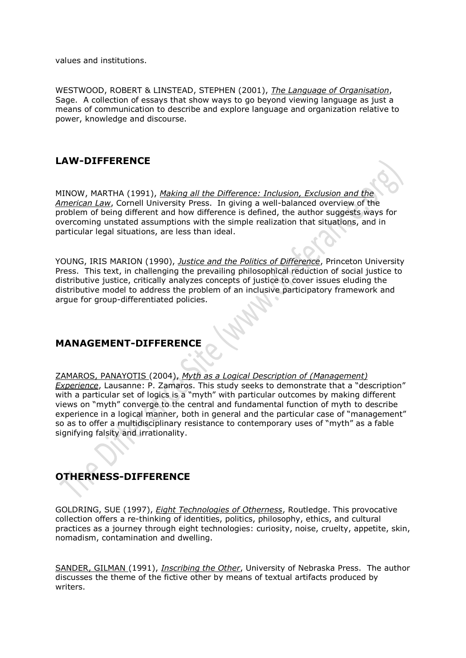values and institutions.

WESTWOOD, ROBERT & LINSTEAD, STEPHEN (2001), *[The Language of Organisation](http://www.amazon.com/gp/associates/link-types/marketplace.html?t=thedifferencs-20&asin=0761953353)*, Sage. A collection of essays that show ways to go beyond viewing language as just a means of communication to describe and explore language and organization relative to power, knowledge and discourse.

# **LAW-DIFFERENCE**

MINOW, MARTHA (1991), *[Making all the Difference: Inclusion, Exclusion and the](http://www.amazon.com/exec/obidos/ASIN/0801499771/thedifferencs-20)  [American Law](http://www.amazon.com/exec/obidos/ASIN/0801499771/thedifferencs-20)*, Cornell University Press. In giving a well-balanced overview of the problem of being different and how difference is defined, the author suggests ways for overcoming unstated assumptions with the simple realization that situations, and in particular legal situations, are less than ideal.

YOUNG, IRIS MARION (1990), *[Justice and the Politics of Difference](http://www.amazon.com/exec/obidos/ASIN/0691023158/thedifferencs-20)*, Princeton University Press. This text, in challenging the prevailing philosophical reduction of social justice to distributive justice, critically analyzes concepts of justice to cover issues eluding the distributive model to address the problem of an inclusive participatory framework and argue for group-differentiated policies.

# **MANAGEMENT-DIFFERENCE**

[ZAMAROS, PANAYOTIS](http://www.dif-ferance.org/4771/14909.html) (2004), *[Myth as a Logical Description of \(Management\)](http://www.dif-ferance.org/4771/14909.html)  [Experience](http://www.dif-ferance.org/4771/14909.html)*, Lausanne: P. Zamaros. This study seeks to demonstrate that a "description" with a particular set of logics is a "myth" with particular outcomes by making different views on "myth" converge to the central and fundamental function of myth to describe experience in a logical manner, both in general and the particular case of "management" so as to offer a multidisciplinary resistance to contemporary uses of "myth" as a fable signifying falsity and irrationality.

# **OTHERNESS-DIFFERENCE**

GOLDRING, SUE (1997), *[Eight Technologies of Otherness](http://www.amazon.com/gp/associates/link-types/marketplace.html?t=thedifferencs-20&asin=0415145791)*, Routledge. This provocative collection offers a re-thinking of identities, politics, philosophy, ethics, and cultural practices as a journey through eight technologies: curiosity, noise, cruelty, appetite, skin, nomadism, contamination and dwelling.

[SANDER, GILMAN](http://www.dif-ferance.org/4771/14855.html) (1991), *[Inscribing the Other](http://www.amazon.com/gp/associates/link-types/marketplace.html?t=thedifferencs-20&asin=0803221347)*, University of Nebraska Press. The author discusses the theme of the fictive other by means of textual artifacts produced by writers.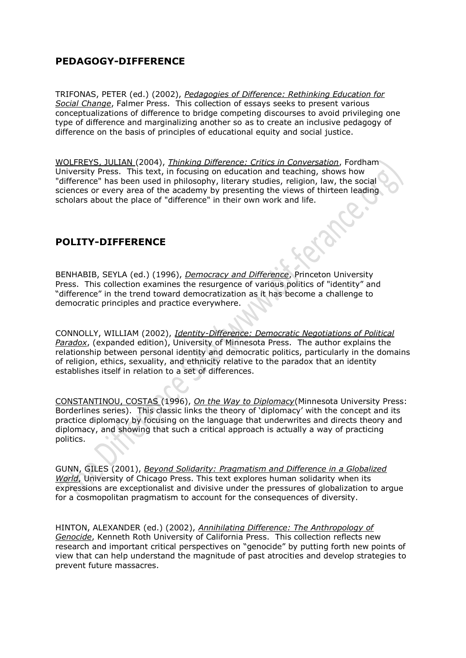### **PEDAGOGY-DIFFERENCE**

TRIFONAS, PETER (ed.) (2002), *Pedagogies of [Difference: Rethinking Education for](http://www.amazon.com/exec/obidos/ASIN/0415931495/thedifferencs-20)  [Social Change](http://www.amazon.com/exec/obidos/ASIN/0415931495/thedifferencs-20)*, Falmer Press. This collection of essays seeks to present various conceptualizations of difference to bridge competing discourses to avoid privileging one type of difference and marginalizing another so as to create an inclusive pedagogy of difference on the basis of principles of educational equity and social justice.

[WOLFREYS, JULIAN](http://www.dif-ferance.org/4771/27301.html) (2004), *[Thinking Difference: Critics in Conversation](http://www.amazon.com/gp/associates/link-types/marketplace.html?t=thedifferencs-20&asin=0823223086)*, Fordham University Press. This text, in focusing on education and teaching, shows how "difference" has been used in philosophy, literary studies, religion, law, the social sciences or every area of the academy by presenting the views of thirteen leading scholars about the place of "difference" in their own work and life.

# **POLITY-DIFFERENCE**

BENHABIB, SEYLA (ed.) (1996), *[Democracy and Difference](http://www.amazon.com/gp/associates/link-types/marketplace.html?t=thedifferencs-20&asin=0691044783)*, Princeton University Press. This collection examines the resurgence of various politics of "identity" and "difference" in the trend toward democratization as it has become a challenge to democratic principles and practice everywhere.

CONNOLLY, WILLIAM (2002), *[Identity-Difference: Democratic Negotiations of Political](http://www.amazon.com/gp/associates/link-types/marketplace.html?t=thedifferencs-20&asin=0816640866)  [Paradox](http://www.amazon.com/gp/associates/link-types/marketplace.html?t=thedifferencs-20&asin=0816640866)*, (expanded edition), University of Minnesota Press. The author explains the relationship between personal identity and democratic politics, particularly in the domains of religion, ethics, sexuality, and ethnicity relative to the paradox that an identity establishes itself in relation to a set of differences.

[CONSTANTINOU, COSTAS](http://www.dif-ferance.org/4771/45150.html) (1996), *[On the Way to Diplomacy](http://www.amazon.com/gp/associates/link-types/marketplace.html?t=thedifferencs-20&asin=0816626847)*(Minnesota University Press: Borderlines series). This classic links the theory of 'diplomacy' with the concept and its practice diplomacy by focusing on the language that underwrites and directs theory and diplomacy, and showing that such a critical approach is actually a way of practicing politics.

GUNN, GILES (2001), *[Beyond Solidarity: Pragmatism and Difference in a Globalized](http://www.amazon.com/exec/obidos/ASIN/0226310647/thedifferencs-20)  [World](http://www.amazon.com/exec/obidos/ASIN/0226310647/thedifferencs-20)*, University of Chicago Press. This text explores human solidarity when its expressions are exceptionalist and divisive under the pressures of globalization to argue for a cosmopolitan pragmatism to account for the consequences of diversity.

HINTON, ALEXANDER (ed.) (2002), *[Annihilating Difference: The Anthropology of](http://www.amazon.com/gp/associates/link-types/marketplace.html?t=thedifferencs-20&asin=0520230299)  [Genocide](http://www.amazon.com/gp/associates/link-types/marketplace.html?t=thedifferencs-20&asin=0520230299)*, Kenneth Roth University of California Press. This collection reflects new research and important critical perspectives on "genocide" by putting forth new points of view that can help understand the magnitude of past atrocities and develop strategies to prevent future massacres.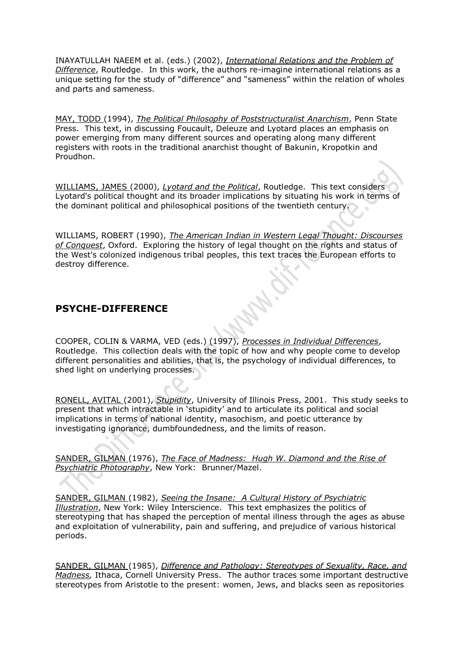INAYATULLAH NAEEM et al. (eds.) (2002), *[International Relations and the Problem of](http://www.amazon.com/gp/associates/link-types/marketplace.html?t=thedifferencs-20&asin=0415946387)  [Difference](http://www.amazon.com/gp/associates/link-types/marketplace.html?t=thedifferencs-20&asin=0415946387)*, Routledge. In this work, the authors re-imagine international relations as a unique setting for the study of "difference" and "sameness" within the relation of wholes and parts and sameness.

[MAY, TODD](http://www.dif-ferance.org/4771/20801.html) (1994), *[The Political Philosophy of Poststructuralist Anarchism](http://www.amazon.com/gp/associates/link-types/marketplace.html?t=thedifferencs-20&asin=0271010460)*, Penn State Press. This text, in discussing Foucault, Deleuze and Lyotard places an emphasis on power emerging from many different sources and operating along many different registers with roots in the traditional anarchist thought of Bakunin, Kropotkin and Proudhon.

[WILLIAMS, JAMES](http://www.dif-ferance.org/4771/63857.html) (2000), *[Lyotard and the Political](http://www.amazon.com/gp/associates/link-types/marketplace.html?t=thedifferencs-20&asin=0415183499)*, Routledge. This text considers Lyotard's political thought and its broader implications by situating his work in terms of the dominant political and philosophical positions of the twentieth century.

WILLIAMS, ROBERT (1990), *[The American Indian in Western Legal Thought: Discourses](http://rcm.amazon.com/e/cm?t=thedifferencs-20&o=1&p=8&l=as1&asins=0195080025&fc1=000000&lc1=0000ff&bc1=<1=_blank&IS2=1&bg1=ffffff&f=ifr)  [of Conquest](http://rcm.amazon.com/e/cm?t=thedifferencs-20&o=1&p=8&l=as1&asins=0195080025&fc1=000000&lc1=0000ff&bc1=<1=_blank&IS2=1&bg1=ffffff&f=ifr)*, Oxford. Exploring the history of legal thought on the rights and status of the West's colonized indigenous tribal peoples, this text traces the European efforts to destroy difference.

### **PSYCHE-DIFFERENCE**

COOPER, COLIN & VARMA, VED (eds.) (1997), *[Processes in Individual Differences](http://www.amazon.com/gp/associates/link-types/marketplace.html?t=thedifferencs-20&asin=0415141192)*, Routledge. This collection deals with the topic of how and why people come to develop different personalities and abilities, that is, the psychology of individual differences, to shed light on underlying processes.

[RONELL, AVITAL](http://www.dif-ferance.org/4771/44801.html) (2001), *[Stupidity](http://www.amazon.com/gp/associates/link-types/marketplace.html?t=thedifferencs-20&asin=0252071271)*, University of Illinois Press, 2001. This study seeks to present that which intractable in 'stupidity' and to articulate its political and social implications in terms of national identity, masochism, and poetic utterance by investigating ignorance, dumbfoundedness, and the limits of reason.

[SANDER, GILMAN](http://www.dif-ferance.org/4771/14855.html) (1976), *The Face of Madness: [Hugh W. Diamond and the Rise of](http://www.amazon.com/gp/associates/link-types/marketplace.html?t=thedifferencs-20&asin=0876301324)  [Psychiatric Photography](http://www.amazon.com/gp/associates/link-types/marketplace.html?t=thedifferencs-20&asin=0876301324)*, New York: Brunner/Mazel.

[SANDER, GILMAN](http://www.dif-ferance.org/4771/14855.html) (1982), *Seeing the Insane: [A Cultural History of Psychiatric](http://www.amazon.com/gp/associates/link-types/marketplace.html?t=thedifferencs-20&asin=080327064X)  [Illustration](http://www.amazon.com/gp/associates/link-types/marketplace.html?t=thedifferencs-20&asin=080327064X)*, New York: Wiley Interscience. This text emphasizes the politics of stereotyping that has shaped the perception of mental illness through the ages as abuse and exploitation of vulnerability, pain and suffering, and prejudice of various historical periods.

[SANDER, GILMAN](http://www.dif-ferance.org/4771/14855.html) (1985), *[Difference and Pathology: Stereotypes of Sexuality, Race, and](http://www.amazon.com/gp/associates/link-types/marketplace.html?t=thedifferencs-20&asin=0801493323)  [Madness,](http://www.amazon.com/gp/associates/link-types/marketplace.html?t=thedifferencs-20&asin=0801493323)* Ithaca, Cornell University Press. The author traces some important destructive stereotypes from Aristotle to the present: women, Jews, and blacks seen as repositories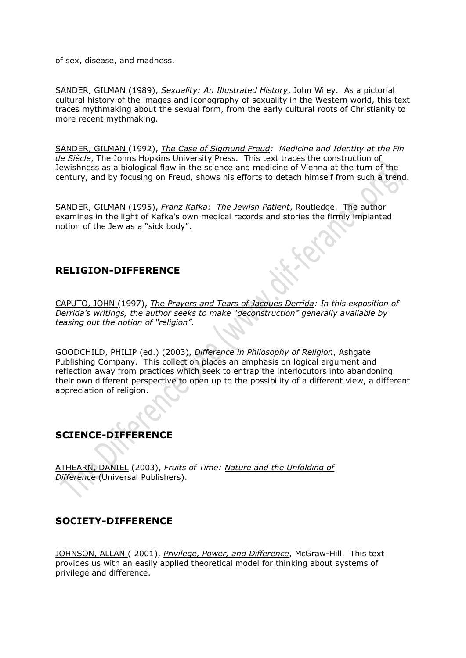of sex, disease, and madness.

[SANDER, GILMAN](http://www.dif-ferance.org/4771/14855.html) (1989), *[Sexuality: An Illustrated History](http://www.amazon.com/gp/associates/link-types/marketplace.html?t=thedifferencs-20&asin=047183792X)*, John Wiley. As a pictorial cultural history of the images and iconography of sexuality in the Western world, this text traces mythmaking about the sexual form, from the early cultural roots of Christianity to more recent mythmaking.

[SANDER, GILMAN](http://www.dif-ferance.org/4771/14855.html) (1992), *[The Case of Sigmund Freud:](http://www.amazon.com/gp/associates/link-types/marketplace.html?t=thedifferencs-20&asin=0801849748) Medicine and Identity at the Fin de Siècle*, The Johns Hopkins University Press. This text traces the construction of Jewishness as a biological flaw in the science and medicine of Vienna at the turn of the century, and by focusing on Freud, shows his efforts to detach himself from such a trend.

[SANDER, GILMAN](http://www.dif-ferance.org/4771/14855.html) (1995), *Franz Kafka: [The Jewish Patient](http://www.amazon.com/gp/associates/link-types/marketplace.html?t=thedifferencs-20&asin=0415913918)*, Routledge. The author examines in the light of Kafka's own medical records and stories the firmly implanted notion of the Jew as a "sick body".

#### **RELIGION-DIFFERENCE**

[CAPUTO, JOHN](http://www.dif-ferance.org/4771/14801.html) (1997), *[The Prayers and Tears of Jacques Derrida:](http://www.amazon.com/gp/associates/link-types/marketplace.html?t=thedifferencs-20&asin=0253211123) In this exposition of Derrida's writings, the author seeks to make "deconstruction" generally available by teasing out the notion of "religion".* 

GOODCHILD, PHILIP (ed.) (2003), *[Difference in Philosophy of Religion](http://www.amazon.com/gp/associates/link-types/marketplace.html?t=thedifferencs-20&asin=0754608476)*, Ashgate Publishing Company. This collection places an emphasis on logical argument and reflection away from practices which seek to entrap the interlocutors into abandoning their own different perspective to open up to the possibility of a different view, a different appreciation of religion.

# **SCIENCE-DIFFERENCE**

[ATHEARN, DANIEL](http://www.dif-ferance.org/4771/43501.html) (2003), *Fruits of Time: [Nature and the Unfolding of](http://www.amazon.com/gp/associates/link-types/marketplace.html?t=thedifferencs-20&asin=1581125658)  [Difference](http://www.amazon.com/gp/associates/link-types/marketplace.html?t=thedifferencs-20&asin=1581125658)* (Universal Publishers).

#### **SOCIETY-DIFFERENCE**

[JOHNSON, ALLAN](http://www.dif-ferance.org/4771/63857.html) ( 2001), *[Privilege, Power, and Difference](http://www.amazon.com/gp/associates/link-types/marketplace.html?t=thedifferencs-20&asin=0767422546)*, McGraw-Hill. This text provides us with an easily applied theoretical model for thinking about systems of privilege and difference.